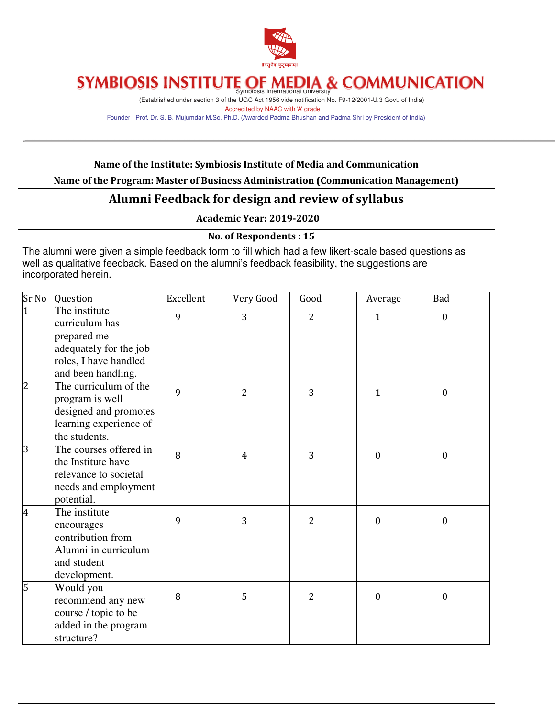

# SYMBIOSIS INSTITUTE OF MEDIA & COMMUNICATION

(Established under section 3 of the UGC Act 1956 vide notification No. F9-12/2001-U.3 Govt. of India) Accredited by NAAC with 'A' grade

Founder : Prof. Dr. S. B. Mujumdar M.Sc. Ph.D. (Awarded Padma Bhushan and Padma Shri by President of India)

#### Name of the Institute: Symbiosis Institute of Media and Communication

Name of the Program: Master of Business Administration (Communication Management)

### Alumni Feedback for design and review of syllabus

Academic Year: 2019-2020

No. of Respondents : 15

The alumni were given a simple feedback form to fill which had a few likert-scale based questions as well as qualitative feedback. Based on the alumni's feedback feasibility, the suggestions are incorporated herein.

| Sr No          | Question                                                                                                                | Excellent | Very Good      | Good           | Average          | Bad              |
|----------------|-------------------------------------------------------------------------------------------------------------------------|-----------|----------------|----------------|------------------|------------------|
| $\overline{1}$ | The institute<br>curriculum has<br>prepared me<br>adequately for the job<br>roles, I have handled<br>and been handling. | 9         | 3              | $\overline{2}$ | $\mathbf{1}$     | $\boldsymbol{0}$ |
| $\overline{c}$ | The curriculum of the<br>program is well<br>designed and promotes<br>learning experience of<br>the students.            | 9         | $\overline{2}$ | 3              | $\mathbf{1}$     | $\boldsymbol{0}$ |
| 3              | The courses offered in<br>the Institute have<br>relevance to societal<br>needs and employment<br>potential.             | 8         | $\overline{4}$ | 3              | $\mathbf{0}$     | $\boldsymbol{0}$ |
| 4              | The institute<br>encourages<br>contribution from<br>Alumni in curriculum<br>and student<br>development.                 | 9         | 3              | $\overline{2}$ | $\mathbf{0}$     | $\boldsymbol{0}$ |
| 5              | Would you<br>recommend any new<br>course / topic to be<br>added in the program<br>structure?                            | 8         | 5              | $\overline{2}$ | $\boldsymbol{0}$ | $\boldsymbol{0}$ |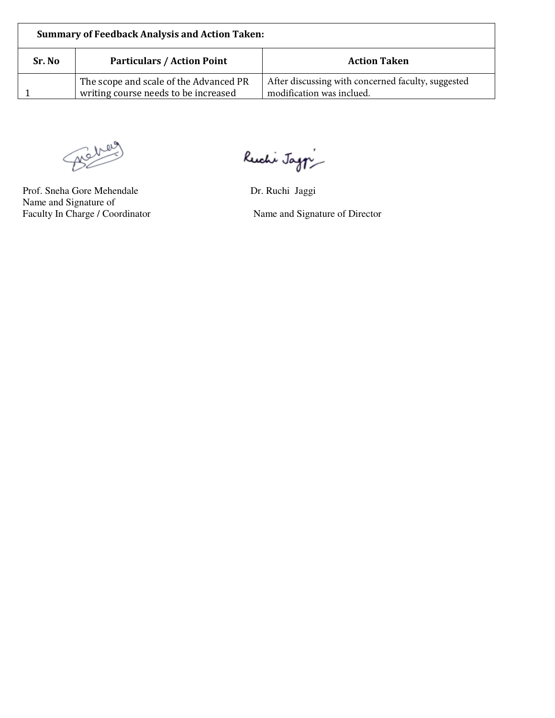| <b>Summary of Feedback Analysis and Action Taken:</b> |                                                                                |                                                                                 |  |  |  |
|-------------------------------------------------------|--------------------------------------------------------------------------------|---------------------------------------------------------------------------------|--|--|--|
| Sr. No                                                | <b>Particulars / Action Point</b>                                              | <b>Action Taken</b>                                                             |  |  |  |
|                                                       | The scope and scale of the Advanced PR<br>writing course needs to be increased | After discussing with concerned faculty, suggested<br>modification was inclued. |  |  |  |

Beheim

Prof. Sneha Gore Mehendale Dr. Ruchi Jaggi Name and Signature of<br>Faculty In Charge / Coordinator

Ruchi Jag $\gamma$ 

Name and Signature of Director

٦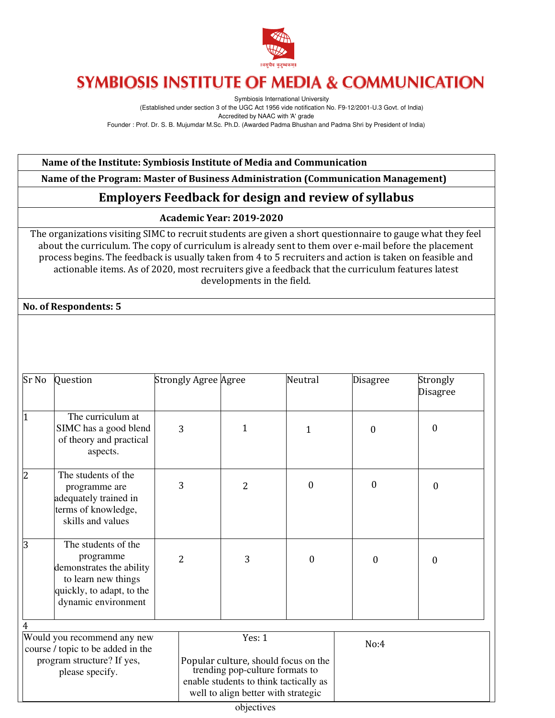

## **SYMBIOSIS INSTITUTE OF MEDIA & COMMUNICATION**

Symbiosis International University (Established under section 3 of the UGC Act 1956 vide notification No. F9-12/2001-U.3 Govt. of India) Accredited by NAAC with 'A' grade Founder : Prof. Dr. S. B. Mujumdar M.Sc. Ph.D. (Awarded Padma Bhushan and Padma Shri by President of India)

Name of the Institute: Symbiosis Institute of Media and Communication

Name of the Program: Master of Business Administration (Communication Management)

### Employers Feedback for design and review of syllabus

#### Academic Year: 2019-2020

The organizations visiting SIMC to recruit students are given a short questionnaire to gauge what they feel about the curriculum. The copy of curriculum is already sent to them over e-mail before the placement process begins. The feedback is usually taken from 4 to 5 recruiters and action is taken on feasible and actionable items. As of 2020, most recruiters give a feedback that the curriculum features latest developments in the field.

No. of Respondents: 5

| Sr No                                                                                                             | Question                                                                                                                                | <b>Strongly Agree Agree</b> |                                                                                                                             | Neutral          | <b>Disagree</b>  | Strongly<br><b>Disagree</b> |
|-------------------------------------------------------------------------------------------------------------------|-----------------------------------------------------------------------------------------------------------------------------------------|-----------------------------|-----------------------------------------------------------------------------------------------------------------------------|------------------|------------------|-----------------------------|
| <sup>1</sup>                                                                                                      | The curriculum at<br>SIMC has a good blend<br>of theory and practical<br>aspects.                                                       | 3                           | 1                                                                                                                           | 1                | $\boldsymbol{0}$ | 0                           |
| $\overline{2}$                                                                                                    | The students of the<br>programme are<br>adequately trained in<br>terms of knowledge,<br>skills and values                               | 3                           | $\overline{2}$                                                                                                              | $\mathbf{0}$     | $\theta$         | $\boldsymbol{0}$            |
| 3                                                                                                                 | The students of the<br>programme<br>demonstrates the ability<br>to learn new things<br>quickly, to adapt, to the<br>dynamic environment | $\overline{2}$              | 3                                                                                                                           | $\boldsymbol{0}$ | $\Omega$         | $\Omega$                    |
| 4                                                                                                                 |                                                                                                                                         |                             |                                                                                                                             |                  |                  |                             |
| Would you recommend any new<br>course / topic to be added in the<br>program structure? If yes,<br>please specify. |                                                                                                                                         |                             | Yes: 1<br>Popular culture, should focus on the<br>trending pop-culture formats to<br>enable students to think tactically as |                  | No:4             |                             |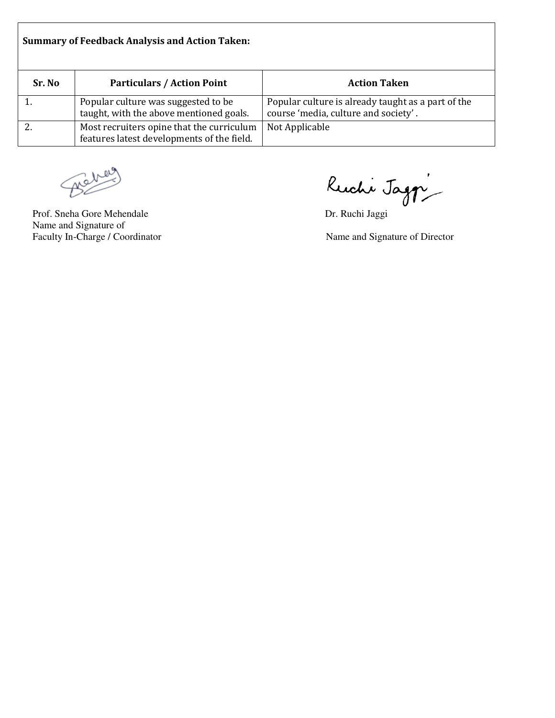| <b>Summary of Feedback Analysis and Action Taken:</b> |                                                                                         |                                                                                            |  |  |  |
|-------------------------------------------------------|-----------------------------------------------------------------------------------------|--------------------------------------------------------------------------------------------|--|--|--|
| Sr. No                                                | <b>Particulars / Action Point</b>                                                       | <b>Action Taken</b>                                                                        |  |  |  |
|                                                       | Popular culture was suggested to be<br>taught, with the above mentioned goals.          | Popular culture is already taught as a part of the<br>course 'media, culture and society'. |  |  |  |
|                                                       | Most recruiters opine that the curriculum<br>features latest developments of the field. | Not Applicable                                                                             |  |  |  |

Behel

 Name and Signature of Faculty In-Charge / Coordinator Name and Signature of Director

Prof. Sneha Gore Mehendale Dr. Ruchi Jaggi

⅂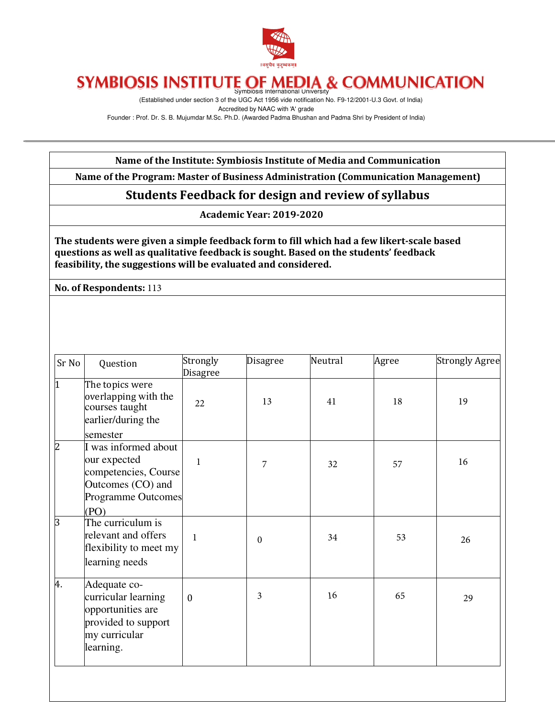

# SYMBIOSIS INSTITUTE OF MEDIA & COMMUNICATION

(Established under section 3 of the UGC Act 1956 vide notification No. F9-12/2001-U.3 Govt. of India) Accredited by NAAC with 'A' grade Founder : Prof. Dr. S. B. Mujumdar M.Sc. Ph.D. (Awarded Padma Bhushan and Padma Shri by President of India)

Name of the Institute: Symbiosis Institute of Media and Communication

Name of the Program: Master of Business Administration (Communication Management)

Students Feedback for design and review of syllabus

Academic Year: 2019-2020

The students were given a simple feedback form to fill which had a few likert-scale based questions as well as qualitative feedback is sought. Based on the students' feedback feasibility, the suggestions will be evaluated and considered.

No. of Respondents: 113

| Sr No          | Question                                                                                                                    | Strongly<br>Disagree | Disagree         | Neutral | Agree | <b>Strongly Agree</b> |
|----------------|-----------------------------------------------------------------------------------------------------------------------------|----------------------|------------------|---------|-------|-----------------------|
| 1              | The topics were<br>overlapping with the<br>courses taught<br>earlier/during the                                             | 22                   | 13               | 41      | 18    | 19                    |
| $\overline{c}$ | semester<br>I was informed about<br>our expected<br>competencies, Course<br>Outcomes (CO) and<br>Programme Outcomes<br>(PO) | 1                    | 7                | 32      | 57    | 16                    |
| 3              | The curriculum is<br>relevant and offers<br>flexibility to meet my<br>learning needs                                        | 1                    | $\boldsymbol{0}$ | 34      | 53    | 26                    |
| 4.             | Adequate co-<br>curricular learning<br>opportunities are<br>provided to support<br>my curricular<br>learning.               | $\mathbf{0}$         | 3                | 16      | 65    | 29                    |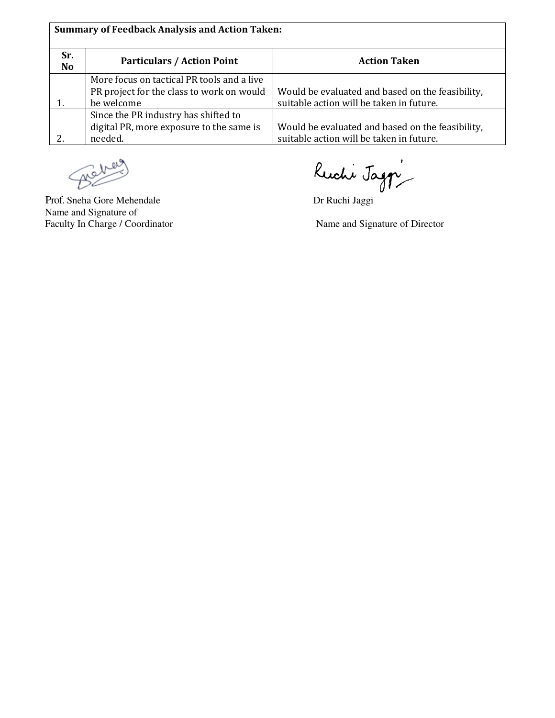| <b>Summary of Feedback Analysis and Action Taken:</b> |                                                                                                       |                                                                                              |  |  |  |  |
|-------------------------------------------------------|-------------------------------------------------------------------------------------------------------|----------------------------------------------------------------------------------------------|--|--|--|--|
| Sr.<br>N <sub>o</sub>                                 | <b>Particulars / Action Point</b>                                                                     | <b>Action Taken</b>                                                                          |  |  |  |  |
|                                                       | More focus on tactical PR tools and a live<br>PR project for the class to work on would<br>be welcome | Would be evaluated and based on the feasibility,<br>suitable action will be taken in future. |  |  |  |  |
|                                                       | Since the PR industry has shifted to<br>digital PR, more exposure to the same is<br>needed.           | Would be evaluated and based on the feasibility,<br>suitable action will be taken in future. |  |  |  |  |

 $\mathscr{B}^\mathsf{dr}$ ♨

 Name and Signature of Faculty In Charge / Coordinator Name and Signature of Director

Prof. Sneha Gore Mehendale Dr Ruchi Jaggi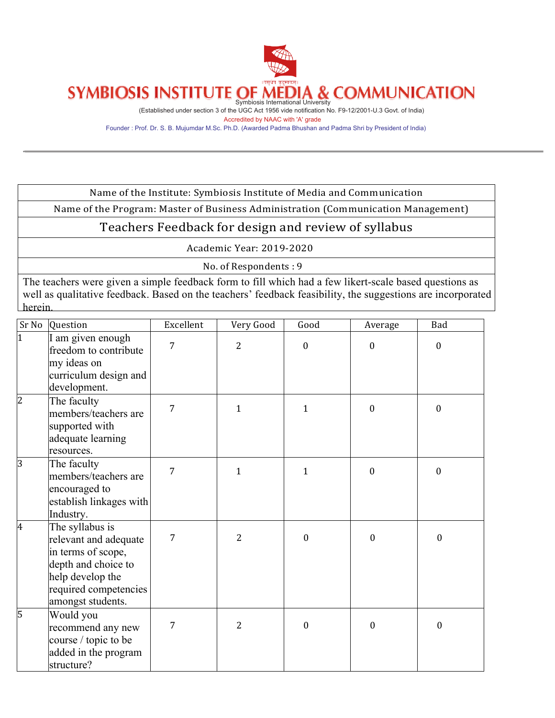

(Established under section 3 of the UGC Act 1956 vide notification No. F9-12/2001-U.3 Govt. of India) Accredited by NAAC with 'A' grade

Founder : Prof. Dr. S. B. Mujumdar M.Sc. Ph.D. (Awarded Padma Bhushan and Padma Shri by President of India)

Name of the Institute: Symbiosis Institute of Media and Communication

Name of the Program: Master of Business Administration (Communication Management)

#### Teachers Feedback for design and review of syllabus

Academic Year: 2019-2020

No. of Respondents: 9

The teachers were given a simple feedback form to fill which had a few likert-scale based questions as well as qualitative feedback. Based on the teachers' feedback feasibility, the suggestions are incorporated herein.

| Sr No          | Question                                                                                                                                                | Excellent | Very Good      | Good             | Average      | Bad              |
|----------------|---------------------------------------------------------------------------------------------------------------------------------------------------------|-----------|----------------|------------------|--------------|------------------|
| $\overline{1}$ | I am given enough<br>freedom to contribute<br>my ideas on<br>curriculum design and<br>development.                                                      | 7         | $\overline{2}$ | $\boldsymbol{0}$ | $\mathbf{0}$ | $\boldsymbol{0}$ |
| $\overline{c}$ | The faculty<br>members/teachers are<br>supported with<br>adequate learning<br>resources.                                                                | 7         | $\mathbf{1}$   | $\mathbf{1}$     | $\mathbf{0}$ | $\mathbf{0}$     |
| $\overline{3}$ | The faculty<br>members/teachers are<br>encouraged to<br>establish linkages with<br>Industry.                                                            | 7         | $\mathbf{1}$   | $\mathbf{1}$     | $\theta$     | $\mathbf{0}$     |
| $\overline{4}$ | The syllabus is<br>relevant and adequate<br>in terms of scope,<br>depth and choice to<br>help develop the<br>required competencies<br>amongst students. | 7         | $\overline{2}$ | $\boldsymbol{0}$ | $\mathbf{0}$ | $\mathbf{0}$     |
| 5              | Would you<br>recommend any new<br>course / topic to be<br>added in the program<br>structure?                                                            | 7         | $\overline{2}$ | $\boldsymbol{0}$ | $\mathbf{0}$ | $\mathbf{0}$     |